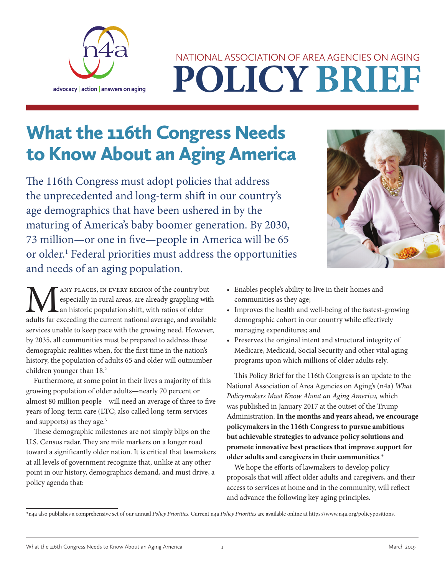

# **POLICY BRIEF** NATIONAL ASSOCIATION OF AREA AGENCIES ON AGING

## What the 116th Congress Needs to Know About an Aging America

The 116th Congress must adopt policies that address the unprecedented and long-term shift in our country's age demographics that have been ushered in by the maturing of America's baby boomer generation. By 2030, 73 million—or one in five—people in America will be 65 or older.<sup>1</sup> Federal priorities must address the opportunities and needs of an aging population.



ANY PLACES, IN EVERY REGION of the country but especially in rural areas, are already grappling with an historic population shift, with ratios of older adults far exceeding the current national average, and available services unable to keep pace with the growing need. However, by 2035, all communities must be prepared to address these demographic realities when, for the first time in the nation's history, the population of adults 65 and older will outnumber children younger than 18.<sup>2</sup>

Furthermore, at some point in their lives a majority of this growing population of older adults—nearly 70 percent or almost 80 million people—will need an average of three to five years of long-term care (LTC; also called long-term services and supports) as they age.<sup>3</sup>

These demographic milestones are not simply blips on the U.S. Census radar. They are mile markers on a longer road toward a significantly older nation. It is critical that lawmakers at all levels of government recognize that, unlike at any other point in our history, demographics demand, and must drive, a policy agenda that:

- Enables people's ability to live in their homes and communities as they age;
- Improves the health and well-being of the fastest-growing demographic cohort in our country while effectively managing expenditures; and
- Preserves the original intent and structural integrity of Medicare, Medicaid, Social Security and other vital aging programs upon which millions of older adults rely.

This Policy Brief for the 116th Congress is an update to the National Association of Area Agencies on Aging's (n4a) *What Policymakers Must Know About an Aging America,* which was published in January 2017 at the outset of the Trump Administration. **In the months and years ahead, we encourage policymakers in the 116th Congress to pursue ambitious but achievable strategies to advance policy solutions and promote innovative best practices that improve support for older adults and caregivers in their communities**.\*

We hope the efforts of lawmakers to develop policy proposals that will affect older adults and caregivers, and their access to services at home and in the community, will reflect and advance the following key aging principles.

<sup>\*</sup>n4a also publishes a comprehensive set of our annual *Policy Priorities*. Current n4a *Policy Priorities* are available online at [https://www.n4a.org/policypositions.](https://www.n4a.org/policypositions)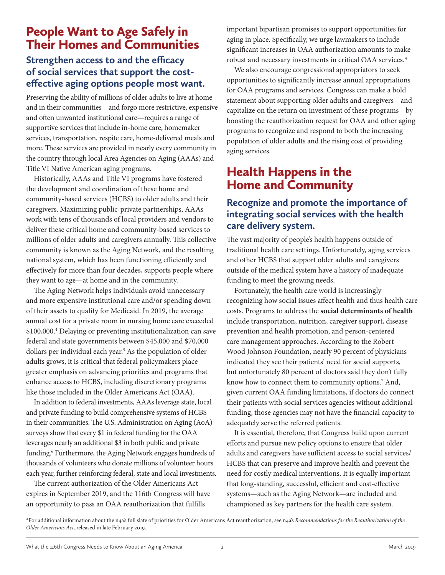## People Want to Age Safely in Their Homes and Communities

## **Strengthen access to and the efficacy of social services that support the costeffective aging options people most want.**

Preserving the ability of millions of older adults to live at home and in their communities—and forgo more restrictive, expensive and often unwanted institutional care—requires a range of supportive services that include in-home care, homemaker services, transportation, respite care, home-delivered meals and more. These services are provided in nearly every community in the country through local Area Agencies on Aging (AAAs) and Title VI Native American aging programs.

Historically, AAAs and Title VI programs have fostered the development and coordination of these home and community-based services (HCBS) to older adults and their caregivers. Maximizing public-private partnerships, AAAs work with tens of thousands of local providers and vendors to deliver these critical home and community-based services to millions of older adults and caregivers annually. This collective community is known as the Aging Network, and the resulting national system, which has been functioning efficiently and effectively for more than four decades, supports people where they want to age—at home and in the community.

The Aging Network helps individuals avoid unnecessary and more expensive institutional care and/or spending down of their assets to qualify for Medicaid. In 2019, the average annual cost for a private room in nursing home care exceeded \$100,000.4 Delaying or preventing institutionalization can save federal and state governments between \$45,000 and \$70,000 dollars per individual each year.<sup>5</sup> As the population of older adults grows, it is critical that federal policymakers place greater emphasis on advancing priorities and programs that enhance access to HCBS, including discretionary programs like those included in the Older Americans Act (OAA).

In addition to federal investments, AAAs leverage state, local and private funding to build comprehensive systems of HCBS in their communities. The U.S. Administration on Aging (AoA) surveys show that every \$1 in federal funding for the OAA leverages nearly an additional \$3 in both public and private funding.<sup>6</sup> Furthermore, the Aging Network engages hundreds of thousands of volunteers who donate millions of volunteer hours each year, further reinforcing federal, state and local investments.

The current authorization of the Older Americans Act expires in September 2019, and the 116th Congress will have an opportunity to pass an OAA reauthorization that fulfills

important bipartisan promises to support opportunities for aging in place. Specifically, we urge lawmakers to include significant increases in OAA authorization amounts to make robust and necessary investments in critical OAA services.\*

We also encourage congressional appropriators to seek opportunities to significantly increase annual appropriations for OAA programs and services. Congress can make a bold statement about supporting older adults and caregivers—and capitalize on the return on investment of these programs—by boosting the reauthorization request for OAA and other aging programs to recognize and respond to both the increasing population of older adults and the rising cost of providing aging services.

## Health Happens in the Home and Community

## **Recognize and promote the importance of integrating social services with the health care delivery system.**

The vast majority of people's health happens outside of traditional health care settings. Unfortunately, aging services and other HCBS that support older adults and caregivers outside of the medical system have a history of inadequate funding to meet the growing needs.

Fortunately, the health care world is increasingly recognizing how social issues affect health and thus health care costs. Programs to address the **social determinants of health** include transportation, nutrition, caregiver support, disease prevention and health promotion, and person-centered care management approaches. According to the Robert Wood Johnson Foundation, nearly 90 percent of physicians indicated they see their patients' need for social supports, but unfortunately 80 percent of doctors said they don't fully know how to connect them to community options.7 And, given current OAA funding limitations, if doctors do connect their patients with social services agencies without additional funding, those agencies may not have the financial capacity to adequately serve the referred patients.

It is essential, therefore, that Congress build upon current efforts and pursue new policy options to ensure that older adults and caregivers have sufficient access to social services/ HCBS that can preserve and improve health and prevent the need for costly medical interventions. It is equally important that long-standing, successful, efficient and cost-effective systems—such as the Aging Network—are included and championed as key partners for the health care system.

<sup>\*</sup>For additional information about the n4a's full slate of priorities for Older Americans Act reauthorization, see n4a's *Recommendations for the Reauthorization of the Older Americans Act,* released in late February 2019.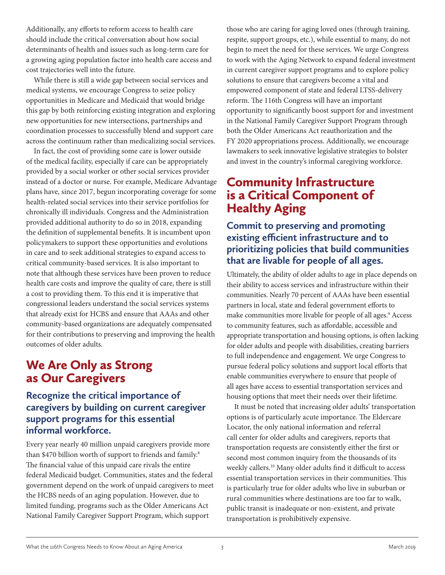Additionally, any efforts to reform access to health care should include the critical conversation about how social determinants of health and issues such as long-term care for a growing aging population factor into health care access and cost trajectories well into the future.

While there is still a wide gap between social services and medical systems, we encourage Congress to seize policy opportunities in Medicare and Medicaid that would bridge this gap by both reinforcing existing integration and exploring new opportunities for new intersections, partnerships and coordination processes to successfully blend and support care across the continuum rather than medicalizing social services.

In fact, the cost of providing some care is lower outside of the medical facility, especially if care can be appropriately provided by a social worker or other social services provider instead of a doctor or nurse. For example, Medicare Advantage plans have, since 2017, begun incorporating coverage for some health-related social services into their service portfolios for chronically ill individuals. Congress and the Administration provided additional authority to do so in 2018, expanding the definition of supplemental benefits. It is incumbent upon policymakers to support these opportunities and evolutions in care and to seek additional strategies to expand access to critical community-based services. It is also important to note that although these services have been proven to reduce health care costs and improve the quality of care, there is still a cost to providing them. To this end it is imperative that congressional leaders understand the social services systems that already exist for HCBS and ensure that AAAs and other community-based organizations are adequately compensated for their contributions to preserving and improving the health outcomes of older adults.

## We Are Only as Strong as Our Caregivers

## **Recognize the critical importance of caregivers by building on current caregiver support programs for this essential informal workforce.**

Every year nearly 40 million unpaid caregivers provide more than \$470 billion worth of support to friends and family.<sup>8</sup> The financial value of this unpaid care rivals the entire federal Medicaid budget. Communities, states and the federal government depend on the work of unpaid caregivers to meet the HCBS needs of an aging population. However, due to limited funding, programs such as the Older Americans Act National Family Caregiver Support Program, which support

those who are caring for aging loved ones (through training, respite, support groups, etc.), while essential to many, do not begin to meet the need for these services. We urge Congress to work with the Aging Network to expand federal investment in current caregiver support programs and to explore policy solutions to ensure that caregivers become a vital and empowered component of state and federal LTSS-delivery reform. The 116th Congress will have an important opportunity to significantly boost support for and investment in the National Family Caregiver Support Program through both the Older Americans Act reauthorization and the FY 2020 appropriations process. Additionally, we encourage lawmakers to seek innovative legislative strategies to bolster and invest in the country's informal caregiving workforce.

## Community Infrastructure is a Critical Component of Healthy Aging

#### **Commit to preserving and promoting existing efficient infrastructure and to prioritizing policies that build communities that are livable for people of all ages.**

Ultimately, the ability of older adults to age in place depends on their ability to access services and infrastructure within their communities. Nearly 70 percent of AAAs have been essential partners in local, state and federal government efforts to make communities more livable for people of all ages.<sup>9</sup> Access to community features, such as affordable, accessible and appropriate transportation and housing options, is often lacking for older adults and people with disabilities, creating barriers to full independence and engagement. We urge Congress to pursue federal policy solutions and support local efforts that enable communities everywhere to ensure that people of all ages have access to essential transportation services and housing options that meet their needs over their lifetime.

It must be noted that increasing older adults' transportation options is of particularly acute importance. The Eldercare Locator, the only national information and referral call center for older adults and caregivers, reports that transportation requests are consistently either the first or second most common inquiry from the thousands of its weekly callers.10 Many older adults find it difficult to access essential transportation services in their communities. This is particularly true for older adults who live in suburban or rural communities where destinations are too far to walk, public transit is inadequate or non-existent, and private transportation is prohibitively expensive.